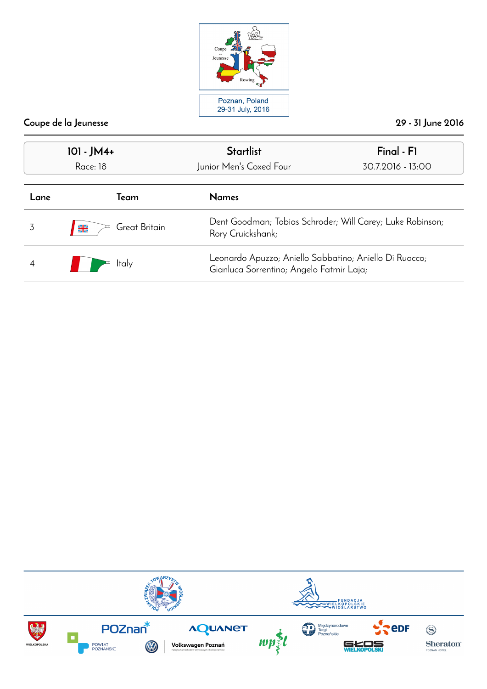

| 101 - JM4+<br>Race: 18 |                                | <b>Startlist</b><br>Junior Men's Coxed Four                                                        | Final - F1<br>30.7.2016 - 13:00 |
|------------------------|--------------------------------|----------------------------------------------------------------------------------------------------|---------------------------------|
| Team<br>Lane           |                                | <b>Names</b>                                                                                       |                                 |
|                        | Great Britain<br>$\frac{N}{2}$ | Dent Goodman; Tobias Schroder; Will Carey; Luke Robinson;<br>Rory Cruickshank;                     |                                 |
| ltaly                  |                                | Leonardo Apuzzo; Aniello Sabbatino; Aniello Di Ruocco;<br>Gianluca Sorrentino; Angelo Fatmir Laja; |                                 |

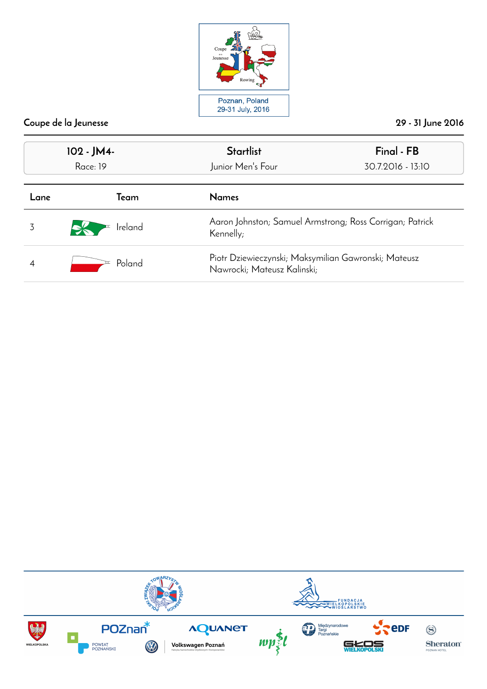

| 102 - JM4-<br><b>Race: 19</b> |         | <b>Startlist</b><br>Junior Men's Four                                               | Final - FB<br>30.7.2016 - 13:10 |  |
|-------------------------------|---------|-------------------------------------------------------------------------------------|---------------------------------|--|
| Lane                          | Team    | <b>Names</b>                                                                        |                                 |  |
|                               | Ireland | Aaron Johnston; Samuel Armstrong; Ross Corrigan; Patrick<br>Kennelly;               |                                 |  |
| Poland                        |         | Piotr Dziewieczynski; Maksymilian Gawronski; Mateusz<br>Nawrocki; Mateusz Kalinski; |                                 |  |

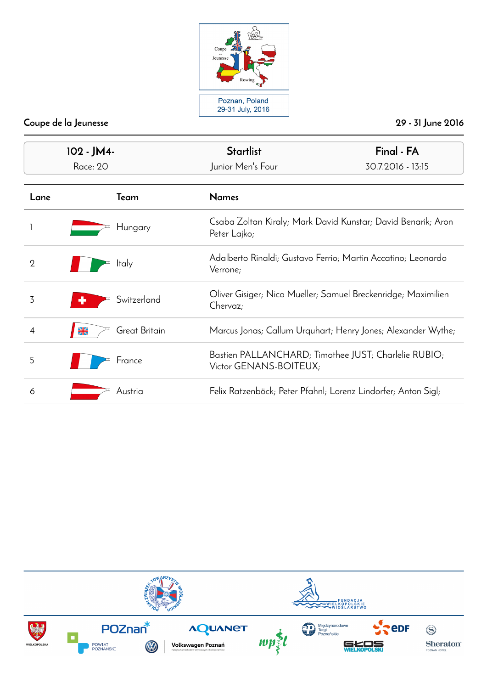

| 102 - JM4-     |                                | <b>Startlist</b>                                                               | Final - FA                                                   |
|----------------|--------------------------------|--------------------------------------------------------------------------------|--------------------------------------------------------------|
|                | Race: 20                       | Junior Men's Four                                                              | 30.7.2016 - 13:15                                            |
| Lane           | Team                           | <b>Names</b>                                                                   |                                                              |
|                | Hungary                        | Peter Lajko;                                                                   | Csaba Zoltan Kiraly; Mark David Kunstar; David Benarik; Aron |
| $\overline{2}$ | <b>Italy</b>                   | Verrone;                                                                       | Adalberto Rinaldi; Gustavo Ferrio; Martin Accatino; Leonardo |
| 3              | Switzerland                    | Oliver Gisiger; Nico Mueller; Samuel Breckenridge; Maximilien<br>Chervaz;      |                                                              |
| 4              | Great Britain<br>$\frac{N}{2}$ |                                                                                | Marcus Jonas; Callum Urquhart; Henry Jones; Alexander Wythe; |
| 5              | France                         | Bastien PALLANCHARD; Timothee JUST; Charlelie RUBIO;<br>Victor GENANS-BOITEUX; |                                                              |
| 6              | Austria                        | Felix Ratzenböck; Peter Pfahnl; Lorenz Lindorfer; Anton Sigl;                  |                                                              |

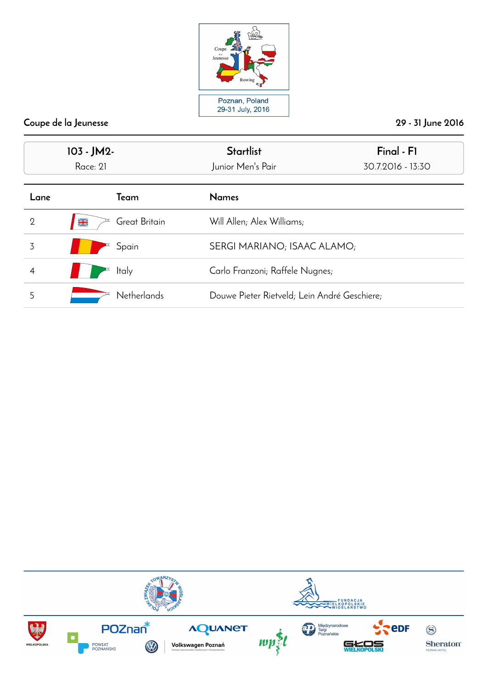

| 103 - JM2-<br>Race: 21 |                                                  | <b>Startlist</b><br>Junior Men's Pair        | Final - F1<br>30.7.2016 - 13:30 |  |
|------------------------|--------------------------------------------------|----------------------------------------------|---------------------------------|--|
| Lane                   | Team                                             | <b>Names</b>                                 |                                 |  |
| $\overline{2}$         | $\frac{\mathbf{N}}{\mathbf{Z}}$<br>Great Britain | Will Allen; Alex Williams;                   |                                 |  |
| 3                      | Spain                                            | SERGI MARIANO; ISAAC ALAMO;                  |                                 |  |
| 4                      | <b>Italy</b>                                     | Carlo Franzoni; Raffele Nugnes;              |                                 |  |
| 5                      | <b>Netherlands</b>                               | Douwe Pieter Rietveld; Lein André Geschiere; |                                 |  |

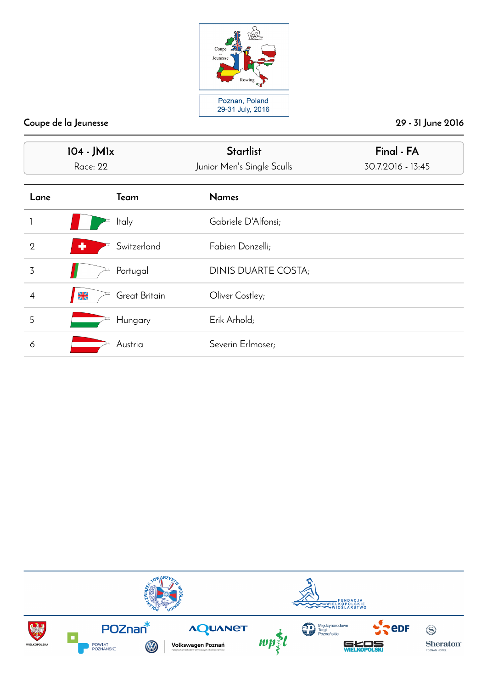

| 104 - JM1x<br>Race: 22 |                                | <b>Startlist</b><br>Junior Men's Single Sculls | Final - FA<br>30.7.2016 - 13:45 |  |
|------------------------|--------------------------------|------------------------------------------------|---------------------------------|--|
| Lane                   | Team                           | <b>Names</b>                                   |                                 |  |
|                        | <b>Italy</b>                   | Gabriele D'Alfonsi;                            |                                 |  |
| $\overline{2}$         | Switzerland<br>٠               | Fabien Donzelli;                               |                                 |  |
| 3                      | Portugal                       | DINIS DUARTE COSTA;                            |                                 |  |
| $\overline{4}$         | Great Britain<br>$\frac{N}{2}$ | Oliver Costley;                                |                                 |  |
| 5                      | Hungary                        | Erik Arhold;                                   |                                 |  |
| 6                      | Austria                        | Severin Erlmoser;                              |                                 |  |

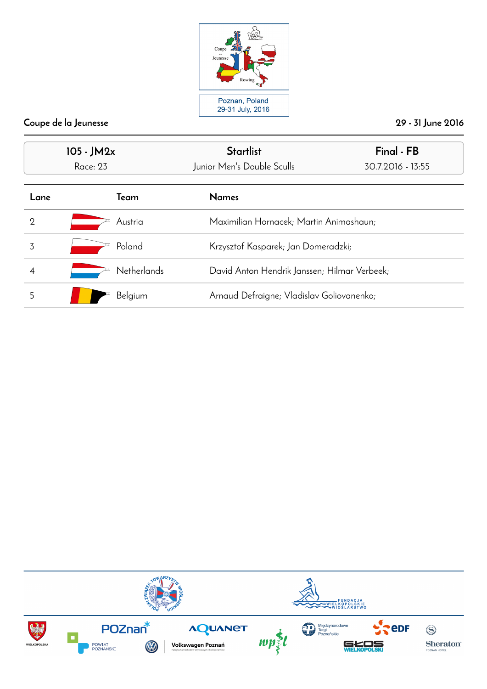

| 105 - JM2x      |                    | <b>Startlist</b>                             | Final - FB        |
|-----------------|--------------------|----------------------------------------------|-------------------|
| <b>Race: 23</b> |                    | Junior Men's Double Sculls                   | 30.7.2016 - 13:55 |
| Lane            | Team               | <b>Names</b>                                 |                   |
| 2               | Austria            | Maximilian Hornacek; Martin Animashaun;      |                   |
| 3               | Poland             | Krzysztof Kasparek; Jan Domeradzki;          |                   |
| 4               | <b>Netherlands</b> | David Anton Hendrik Janssen; Hilmar Verbeek; |                   |
| 5               | Belgium            | Arnaud Defraigne; Vladislav Goliovanenko;    |                   |

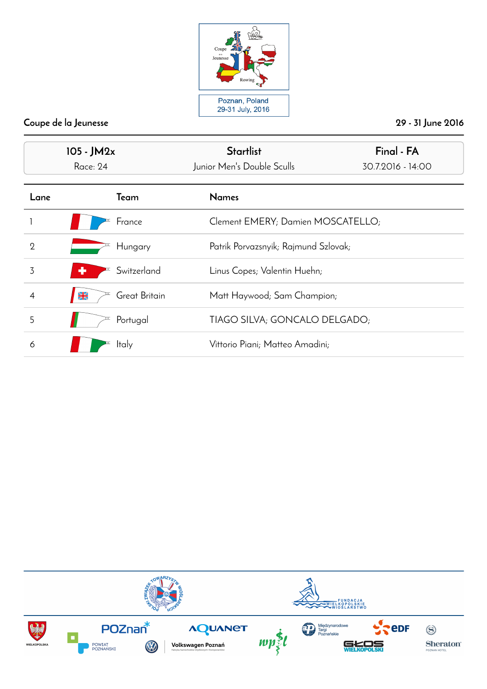

| $105 - JM2x$<br>Race: 24 |                                | <b>Startlist</b><br>Junior Men's Double Sculls | Final - FA<br>30.7.2016 - 14:00 |
|--------------------------|--------------------------------|------------------------------------------------|---------------------------------|
| Lane                     | Team                           | <b>Names</b>                                   |                                 |
|                          | France                         | Clement EMERY; Damien MOSCATELLO;              |                                 |
| $\overline{2}$           | Hungary                        | Patrik Porvazsnyik; Rajmund Szlovak;           |                                 |
| 3                        | Switzerland<br>÷               | Linus Copes; Valentin Huehn;                   |                                 |
|                          | Great Britain<br>$\frac{N}{2}$ | Matt Haywood; Sam Champion;                    |                                 |
| 5                        | Portugal                       | TIAGO SILVA; GONCALO DELGADO;                  |                                 |
| 6                        | Italy                          | Vittorio Piani; Matteo Amadini;                |                                 |

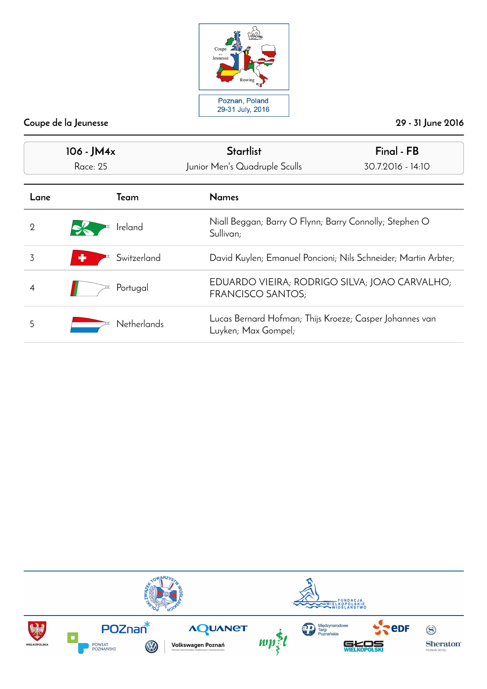

| 106 - JM4x<br><b>Race: 25</b> |                    | <b>Startlist</b><br>Junior Men's Quadruple Sculls                              | Final - FB<br>30.7.2016 - 14:10 |
|-------------------------------|--------------------|--------------------------------------------------------------------------------|---------------------------------|
| Lane                          | Team               | <b>Names</b>                                                                   |                                 |
| 2                             | Ireland            | Niall Beggan; Barry O Flynn; Barry Connolly; Stephen O<br>Sullivan;            |                                 |
| 3                             | Switzerland<br>۰   | David Kuylen; Emanuel Poncioni; Nils Schneider; Martin Arbter;                 |                                 |
| 4                             | Portugal           | EDUARDO VIEIRA; RODRIGO SILVA; JOAO CARVALHO;<br>FRANCISCO SANTOS;             |                                 |
| 5                             | <b>Netherlands</b> | Lucas Bernard Hofman; Thijs Kroeze; Casper Johannes van<br>Luyken; Max Gompel; |                                 |

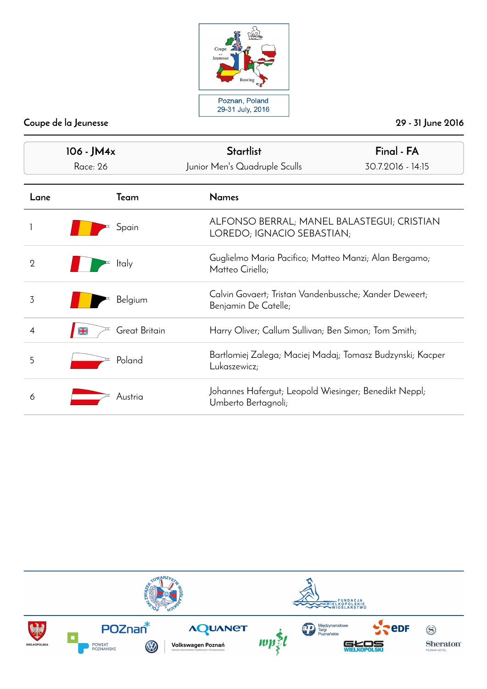

| 106 - JM4x     |                                | <b>Startlist</b>                                                               | Final - FA                                                               |  |
|----------------|--------------------------------|--------------------------------------------------------------------------------|--------------------------------------------------------------------------|--|
| Race: 26       |                                | Junior Men's Quadruple Sculls                                                  | 30.7.2016 - 14:15                                                        |  |
| Lane           | Team                           | <b>Names</b>                                                                   |                                                                          |  |
|                | Spain                          |                                                                                | ALFONSO BERRAL; MANEL BALASTEGUI; CRISTIAN<br>LOREDO; IGNACIO SEBASTIAN; |  |
| $\overline{2}$ | <b>Italy</b>                   | Matteo Ciriello;                                                               | Guglielmo Maria Pacifico; Matteo Manzi; Alan Bergamo;                    |  |
| 3              | Belgium                        | Calvin Govaert; Tristan Vandenbussche; Xander Deweert;<br>Benjamin De Catelle; |                                                                          |  |
|                | Great Britain<br>$\frac{N}{N}$ |                                                                                | Harry Oliver; Callum Sullivan; Ben Simon; Tom Smith;                     |  |
| 5              | Poland                         | Lukaszewicz;                                                                   | Bartlomiej Zalega; Maciej Madaj; Tomasz Budzynski; Kacper                |  |
| 6              | Austria                        | Johannes Hafergut; Leopold Wiesinger; Benedikt Neppl;<br>Umberto Bertagnoli;   |                                                                          |  |

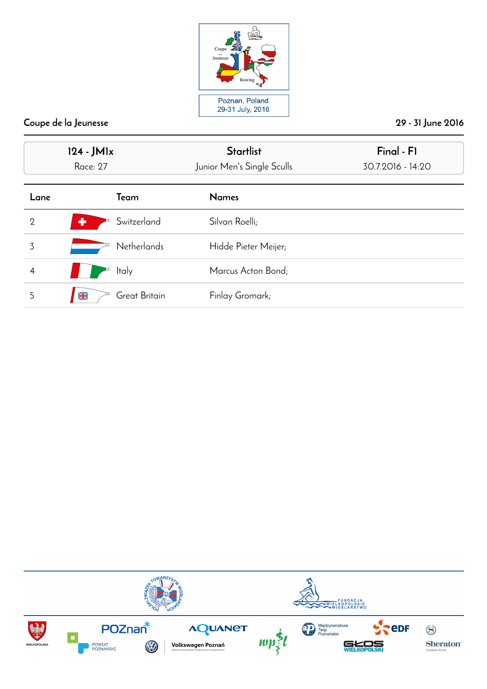

| 124 - JM1x<br><b>Race: 27</b> |                                | <b>Startlist</b><br>Junior Men's Single Sculls | Final - F1<br>30.7.2016 - 14:20 |
|-------------------------------|--------------------------------|------------------------------------------------|---------------------------------|
| Lane                          | Team                           | <b>Names</b>                                   |                                 |
| $\mathbf{2}$                  | Switzerland<br>÷               | Silvan Roelli;                                 |                                 |
| 3                             | Netherlands                    | Hidde Pieter Meijer;                           |                                 |
| 4                             | <b>Italy</b>                   | Marcus Acton Bond;                             |                                 |
| 5                             | Great Britain<br>$\frac{N}{2}$ | Finlay Gromark;                                |                                 |

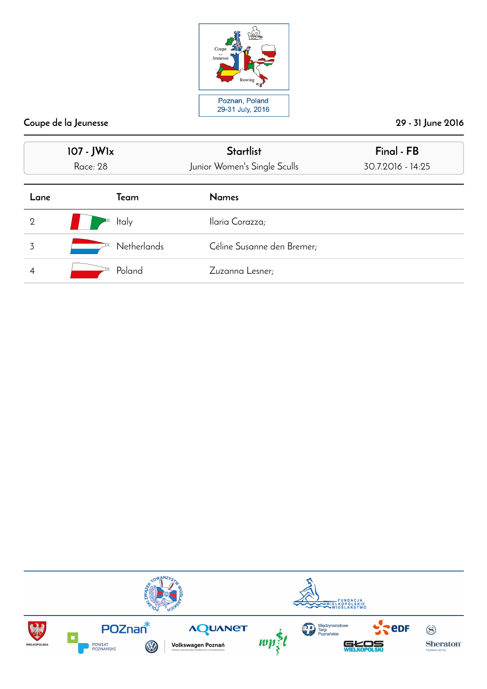

|                | 107 - JW1x<br>Race: 28 | <b>Startlist</b><br>Junior Women's Single Sculls | Final - FB<br>30.7.2016 - 14:25 |
|----------------|------------------------|--------------------------------------------------|---------------------------------|
| Lane           | Team                   | <b>Names</b>                                     |                                 |
| $\overline{2}$ | <b>Italy</b>           | Ilaria Corazza;                                  |                                 |
| 3              | <b>Netherlands</b>     | Céline Susanne den Bremer;                       |                                 |
|                | Poland                 | Zuzanna Lesner;                                  |                                 |

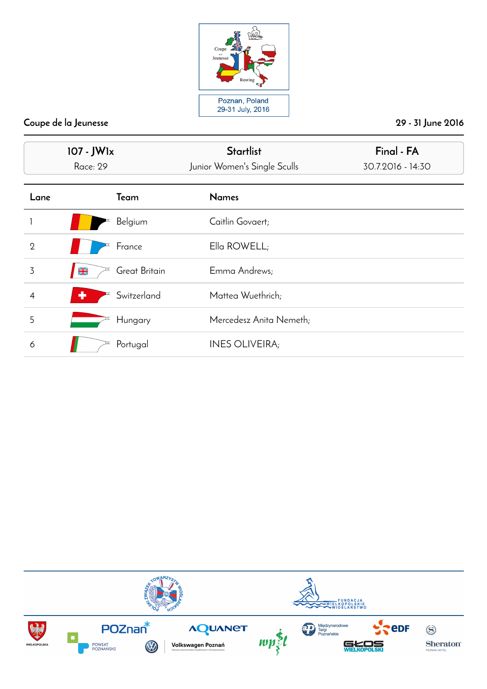

| 107 - JW1x<br><b>Race: 29</b> |                                | <b>Startlist</b><br>Junior Women's Single Sculls | Final - FA<br>30.7.2016 - 14:30 |  |
|-------------------------------|--------------------------------|--------------------------------------------------|---------------------------------|--|
| Lane                          | Team                           | <b>Names</b>                                     |                                 |  |
|                               | Belgium                        | Caitlin Govaert;                                 |                                 |  |
| $\overline{2}$                | France                         | Ella ROWELL;                                     |                                 |  |
| 3                             | Great Britain<br>$\frac{N}{2}$ | Emma Andrews;                                    |                                 |  |
| $\overline{4}$                | Switzerland<br>٠               | Mattea Wuethrich;                                |                                 |  |
| 5                             | Hungary                        | Mercedesz Anita Nemeth;                          |                                 |  |
| 6                             | Portugal                       | <b>INES OLIVEIRA;</b>                            |                                 |  |

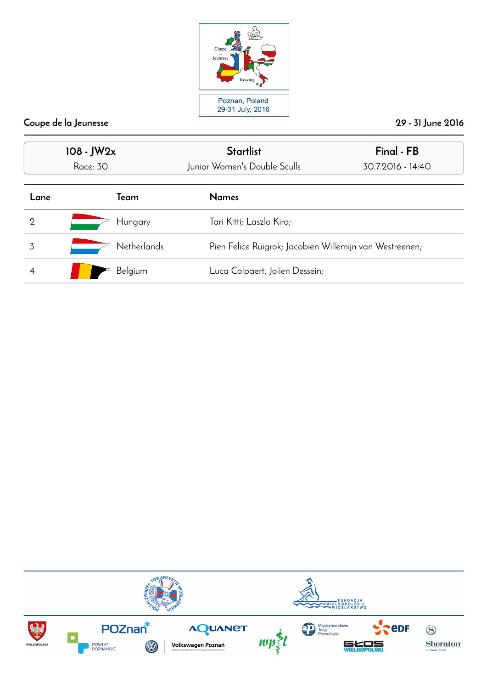

| $108 - JW2x$<br>Race: 30 |                    | <b>Startlist</b><br>Junior Women's Double Sculls | Final - FB<br>30.7.2016 - 14:40                         |  |
|--------------------------|--------------------|--------------------------------------------------|---------------------------------------------------------|--|
| Lane                     | Team               | <b>Names</b>                                     |                                                         |  |
| 2                        | Hungary            | Tari Kitti; Laszlo Kira;                         |                                                         |  |
| 3                        | <b>Netherlands</b> |                                                  | Pien Felice Ruigrok; Jacobien Willemijn van Westreenen; |  |
|                          | Belgium            | Luca Colpaert; Jolien Dessein;                   |                                                         |  |

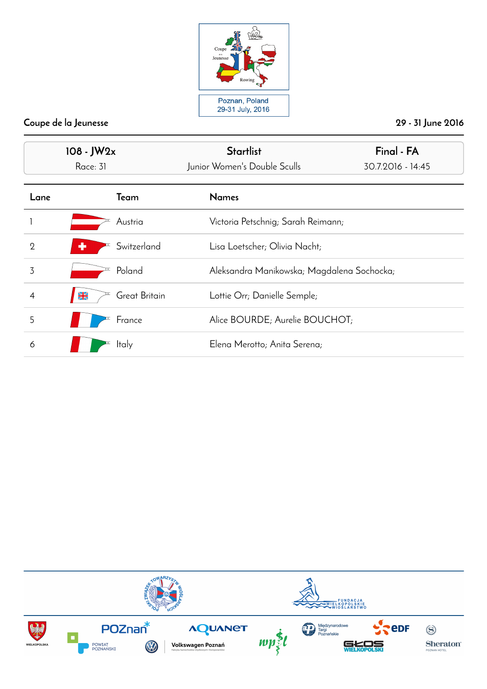

| 108 - JW2x<br>Race: 31 |                                | <b>Startlist</b><br>Junior Women's Double Sculls | Final - FA<br>30.7.2016 - 14:45 |
|------------------------|--------------------------------|--------------------------------------------------|---------------------------------|
| Lane                   | Team                           | <b>Names</b>                                     |                                 |
|                        | Austria                        | Victoria Petschnig; Sarah Reimann;               |                                 |
| $\overline{2}$         | Switzerland                    | Lisa Loetscher; Olivia Nacht;                    |                                 |
| 3                      | Poland                         | Aleksandra Manikowska; Magdalena Sochocka;       |                                 |
| 4                      | Great Britain<br>$\frac{N}{2}$ | Lottie Orr; Danielle Semple;                     |                                 |
| 5                      | France                         | Alice BOURDE; Aurelie BOUCHOT;                   |                                 |
| 6                      | Italy                          | Elena Merotto; Anita Serena;                     |                                 |

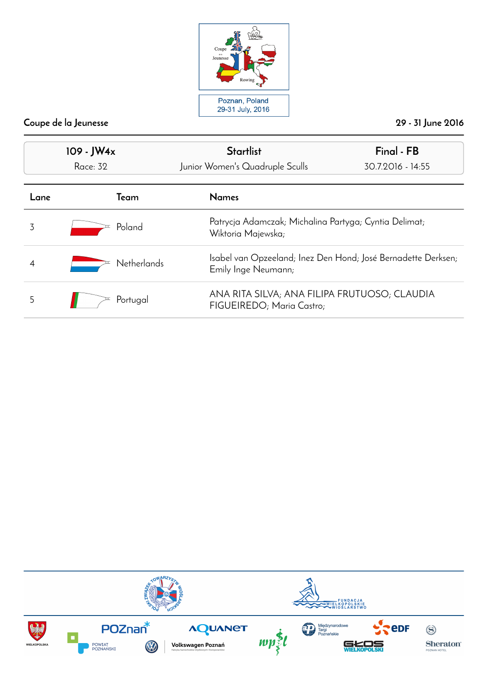

| 109 - JW4x<br><b>Race: 32</b> |                    | <b>Startlist</b><br>Junior Women's Quadruple Sculls                                  | Final - FB<br>30.7.2016 - 14:55                       |  |
|-------------------------------|--------------------|--------------------------------------------------------------------------------------|-------------------------------------------------------|--|
| _ane                          | Team               | <b>Names</b>                                                                         |                                                       |  |
|                               | Poland             | Wiktoria Majewska;                                                                   | Patrycja Adamczak; Michalina Partyga; Cyntia Delimat; |  |
|                               | <b>Netherlands</b> | Isabel van Opzeeland; Inez Den Hond; José Bernadette Derksen;<br>Emily Inge Neumann; |                                                       |  |
| 5                             | Portugal           | ANA RITA SILVA; ANA FILIPA FRUTUOSO; CLAUDIA<br>FIGUEIREDO; Maria Castro;            |                                                       |  |

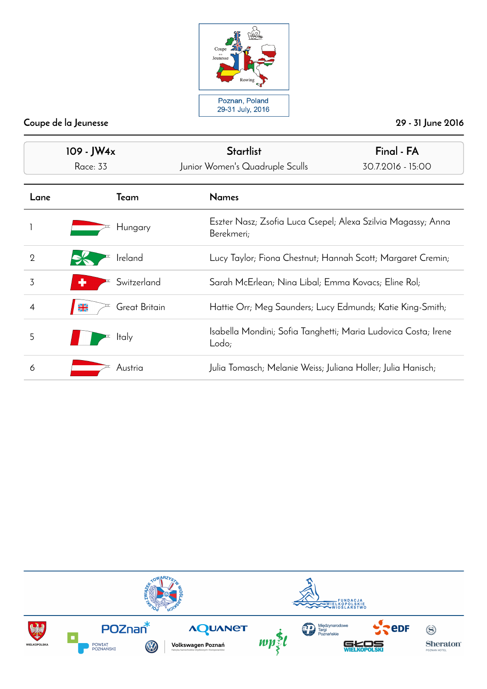

|                | 109 - JW4x                     | <b>Startlist</b>                                                           | Final - FA        |
|----------------|--------------------------------|----------------------------------------------------------------------------|-------------------|
|                | Race: 33                       | Junior Women's Quadruple Sculls                                            | 30.7.2016 - 15:00 |
| Lane           | Team                           | <b>Names</b>                                                               |                   |
|                | Hungary                        | Eszter Nasz; Zsofia Luca Csepel; Alexa Szilvia Magassy; Anna<br>Berekmeri; |                   |
| $\overline{2}$ | Ireland                        | Lucy Taylor; Fiona Chestnut; Hannah Scott; Margaret Cremin;                |                   |
| 3              | Switzerland                    | Sarah McErlean; Nina Libal; Emma Kovacs; Eline Rol;                        |                   |
| 4              | Great Britain<br>$\frac{N}{N}$ | Hattie Orr; Meg Saunders; Lucy Edmunds; Katie King-Smith;                  |                   |
| 5              | <b>Italy</b>                   | Isabella Mondini; Sofia Tanghetti; Maria Ludovica Costa; Irene<br>Lodo;    |                   |
| 6              | Austria                        | Julia Tomasch; Melanie Weiss; Juliana Holler; Julia Hanisch;               |                   |

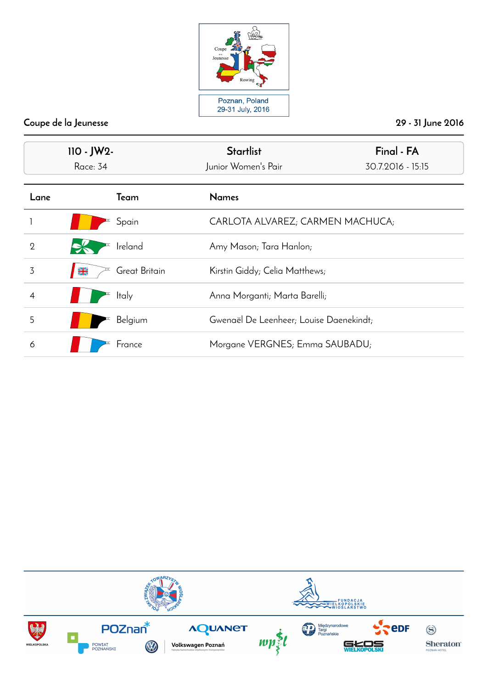

| $110 - JW2 -$<br>Race: 34 |                                | <b>Startlist</b><br>Junior Women's Pair | Final - FA<br>30.7.2016 - 15:15 |
|---------------------------|--------------------------------|-----------------------------------------|---------------------------------|
| Lane                      | Team                           | <b>Names</b>                            |                                 |
|                           | Spain                          | CARLOTA ALVAREZ; CARMEN MACHUCA;        |                                 |
| $\overline{2}$            | Ireland                        | Amy Mason; Tara Hanlon;                 |                                 |
| 3                         | Great Britain<br>$\frac{N}{2}$ | Kirstin Giddy; Celia Matthews;          |                                 |
| 4                         | Italy<br>F                     | Anna Morganti; Marta Barelli;           |                                 |
| 5                         | Belgium                        | Gwenaël De Leenheer; Louise Daenekindt; |                                 |
| 6                         | France                         | Morgane VERGNES; Emma SAUBADU;          |                                 |

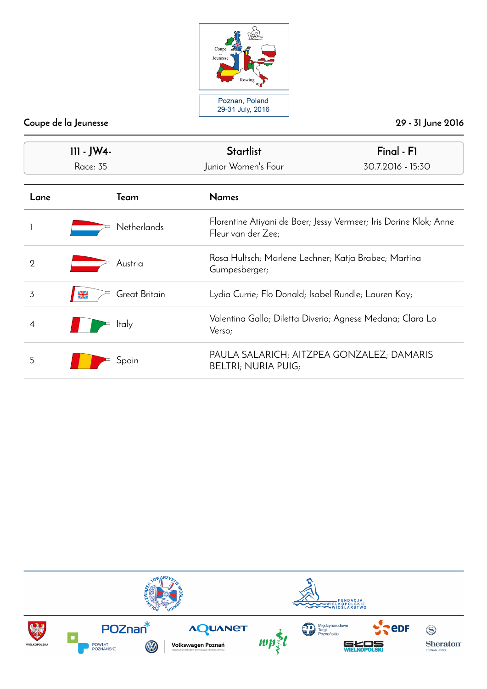

| 111 - JW4-<br><b>Race: 35</b> |                                | Final - F1<br><b>Startlist</b><br>Junior Women's Four<br>30.7.2016 - 15:30 |                                                                   |
|-------------------------------|--------------------------------|----------------------------------------------------------------------------|-------------------------------------------------------------------|
| Lane                          | Team                           | <b>Names</b>                                                               |                                                                   |
|                               | <b>Netherlands</b>             | Fleur van der Zee;                                                         | Florentine Atiyani de Boer; Jessy Vermeer; Iris Dorine Klok; Anne |
| $\overline{2}$                | Austria                        | Rosa Hultsch; Marlene Lechner; Katja Brabec; Martina<br>Gumpesberger;      |                                                                   |
| 3                             | Great Britain<br>$\frac{N}{2}$ | Lydia Currie; Flo Donald; Isabel Rundle; Lauren Kay;                       |                                                                   |
| 4                             | <b>Italy</b>                   | Valentina Gallo; Diletta Diverio; Agnese Medana; Clara Lo<br>Verso;        |                                                                   |
| 5                             | Spain                          | PAULA SALARICH; AITZPEA GONZALEZ; DAMARIS<br><b>BELTRI; NURIA PUIG;</b>    |                                                                   |